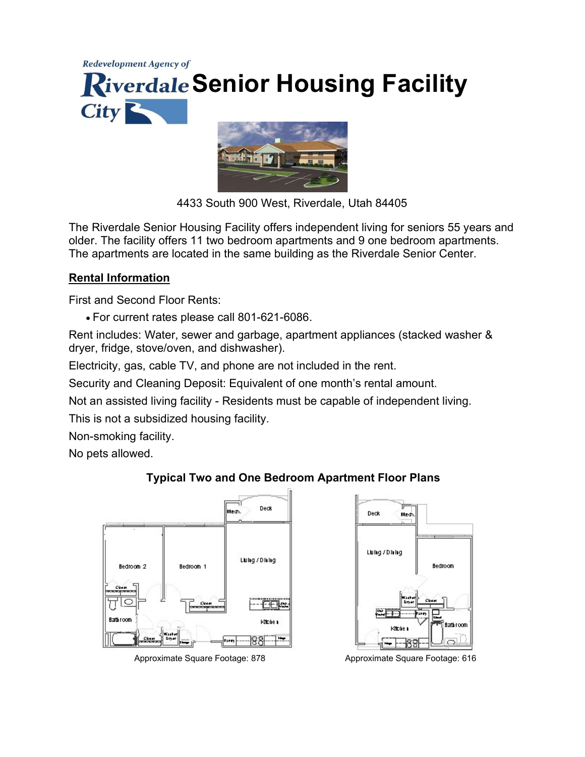



4433 South 900 West, Riverdale, Utah 84405

The Riverdale Senior Housing Facility offers independent living for seniors 55 years and older. The facility offers 11 two bedroom apartments and 9 one bedroom apartments. The apartments are located in the same building as the Riverdale Senior Center.

## Rental Information

First and Second Floor Rents:

For current rates please call 801-621-6086.

Rent includes: Water, sewer and garbage, apartment appliances (stacked washer & dryer, fridge, stove/oven, and dishwasher).

Electricity, gas, cable TV, and phone are not included in the rent.

Security and Cleaning Deposit: Equivalent of one month's rental amount.

Not an assisted living facility - Residents must be capable of independent living.

This is not a subsidized housing facility.

Non-smoking facility.

No pets allowed.

# Typical Two and One Bedroom Apartment Floor Plans





Approximate Square Footage: 878 Approximate Square Footage: 616